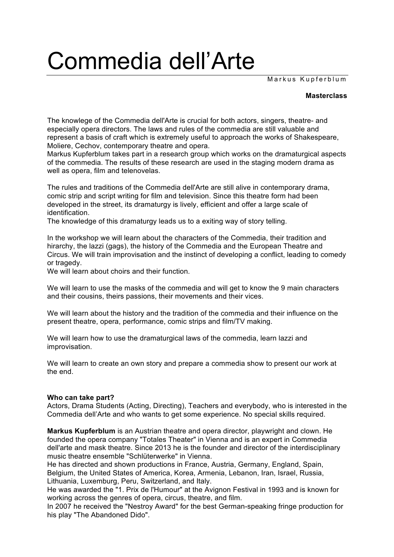## Commedia dell'Arte

Markus Kupferblum

## **Masterclass**

The knowlege of the Commedia dell'Arte is crucial for both actors, singers, theatre- and especially opera directors. The laws and rules of the commedia are still valuable and represent a basis of craft which is extremely useful to approach the works of Shakespeare, Moliere, Cechov, contemporary theatre and opera.

Markus Kupferblum takes part in a research group which works on the dramaturgical aspects of the commedia. The results of these research are used in the staging modern drama as well as opera, film and telenovelas.

The rules and traditions of the Commedia dell'Arte are still alive in contemporary drama, comic strip and script writing for film and television. Since this theatre form had been developed in the street, its dramaturgy is lively, efficient and offer a large scale of identification.

The knowledge of this dramaturgy leads us to a exiting way of story telling.

In the workshop we will learn about the characters of the Commedia, their tradition and hirarchy, the lazzi (gags), the history of the Commedia and the European Theatre and Circus. We will train improvisation and the instinct of developing a conflict, leading to comedy or tragedy.

We will learn about choirs and their function.

We will learn to use the masks of the commedia and will get to know the 9 main characters and their cousins, theirs passions, their movements and their vices.

We will learn about the history and the tradition of the commedia and their influence on the present theatre, opera, performance, comic strips and film/TV making.

We will learn how to use the dramaturgical laws of the commedia, learn lazzi and improvisation.

We will learn to create an own story and prepare a commedia show to present our work at the end.

## **Who can take part?**

Actors, Drama Students (Acting, Directing), Teachers and everybody, who is interested in the Commedia dell'Arte and who wants to get some experience. No special skills required.

**Markus Kupferblum** is an Austrian theatre and opera director, playwright and clown. He founded the opera company "Totales Theater" in Vienna and is an expert in Commedia dell'arte and mask theatre. Since 2013 he is the founder and director of the interdisciplinary music theatre ensemble "Schlüterwerke" in Vienna.

He has directed and shown productions in France, Austria, Germany, England, Spain, Belgium, the United States of America, Korea, Armenia, Lebanon, Iran, Israel, Russia, Lithuania, Luxemburg, Peru, Switzerland, and Italy.

He was awarded the "1. Prix de l'Humour" at the Avignon Festival in 1993 and is known for working across the genres of opera, circus, theatre, and film.

In 2007 he received the "Nestroy Award" for the best German-speaking fringe production for his play "The Abandoned Dido".